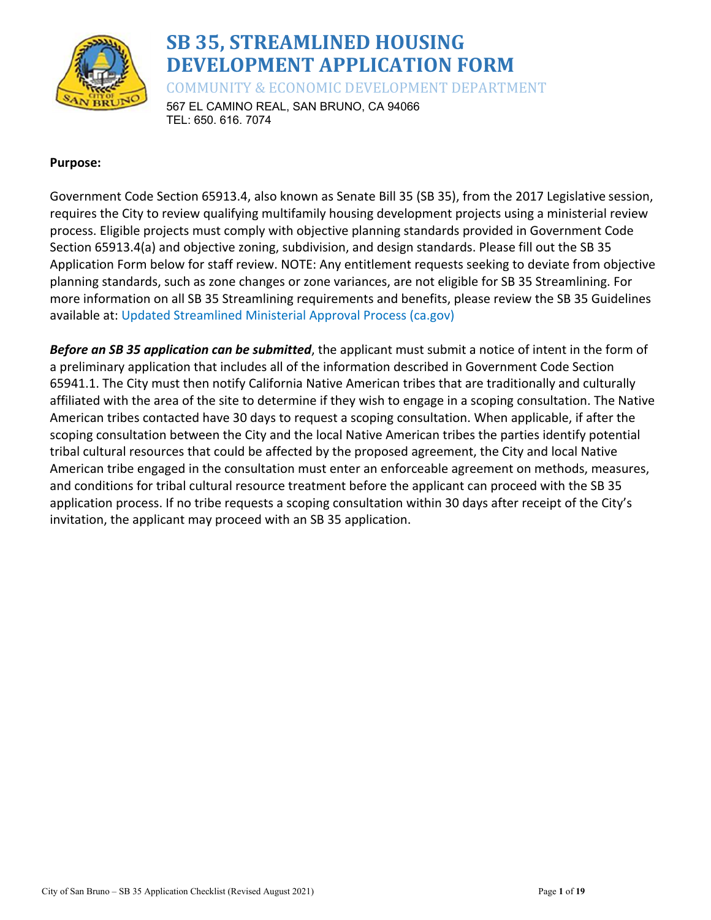

# **SB 35, STREAMLINED HOUSING DEVELOPMENT APPLICATION FORM**

COMMUNITY & ECONOMIC DEVELOPMENT DEPARTMENT

567 EL CAMINO REAL, SAN BRUNO, CA 94066 TEL: 650. 616. 7074

# **Purpose:**

Government Code Section 65913.4, also known as Senate Bill 35 (SB 35), from the 2017 Legislative session, requires the City to review qualifying multifamily housing development projects using a ministerial review process. Eligible projects must comply with objective planning standards provided in Government Code Section 65913.4(a) and objective zoning, subdivision, and design standards. Please fill out the SB 35 Application Form below for staff review. NOTE: Any entitlement requests seeking to deviate from objective planning standards, such as zone changes or zone variances, are not eligible for SB 35 Streamlining. For more information on all SB 35 Streamlining requirements and benefits, please review the SB 35 Guidelines available at: Updated Streamlined Ministerial Approval Process (ca.gov)

*Before an SB 35 application can be submitted*, the applicant must submit a notice of intent in the form of a preliminary application that includes all of the information described in Government Code Section 65941.1. The City must then notify California Native American tribes that are traditionally and culturally affiliated with the area of the site to determine if they wish to engage in a scoping consultation. The Native American tribes contacted have 30 days to request a scoping consultation. When applicable, if after the scoping consultation between the City and the local Native American tribes the parties identify potential tribal cultural resources that could be affected by the proposed agreement, the City and local Native American tribe engaged in the consultation must enter an enforceable agreement on methods, measures, and conditions for tribal cultural resource treatment before the applicant can proceed with the SB 35 application process. If no tribe requests a scoping consultation within 30 days after receipt of the City's invitation, the applicant may proceed with an SB 35 application.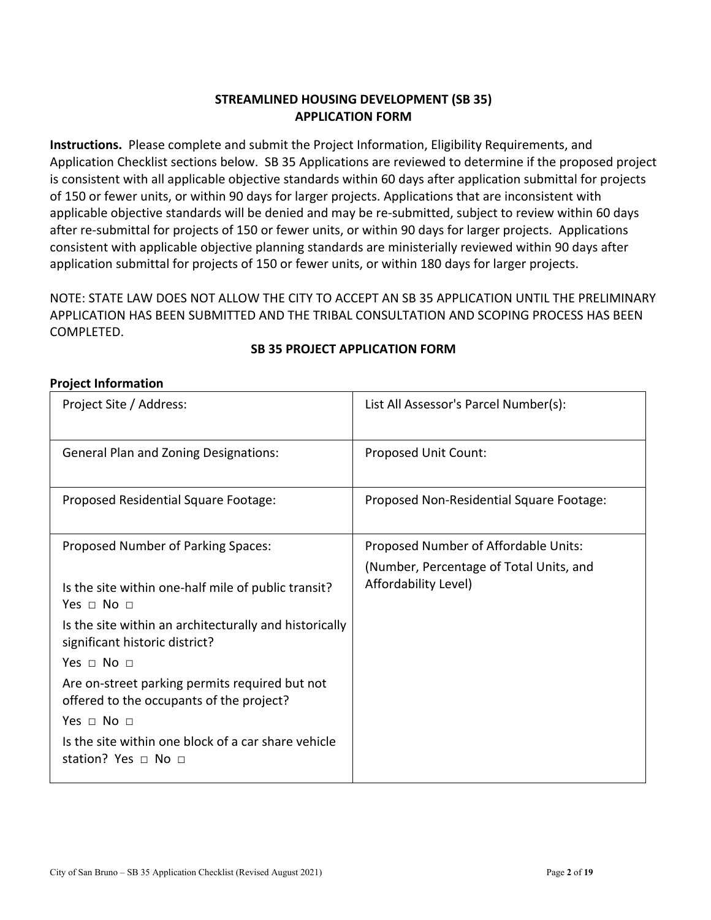# **STREAMLINED HOUSING DEVELOPMENT (SB 35) APPLICATION FORM**

**Instructions.** Please complete and submit the Project Information, Eligibility Requirements, and Application Checklist sections below. SB 35 Applications are reviewed to determine if the proposed project is consistent with all applicable objective standards within 60 days after application submittal for projects of 150 or fewer units, or within 90 days for larger projects. Applications that are inconsistent with applicable objective standards will be denied and may be re-submitted, subject to review within 60 days after re-submittal for projects of 150 or fewer units, or within 90 days for larger projects. Applications consistent with applicable objective planning standards are ministerially reviewed within 90 days after application submittal for projects of 150 or fewer units, or within 180 days for larger projects.

NOTE: STATE LAW DOES NOT ALLOW THE CITY TO ACCEPT AN SB 35 APPLICATION UNTIL THE PRELIMINARY APPLICATION HAS BEEN SUBMITTED AND THE TRIBAL CONSULTATION AND SCOPING PROCESS HAS BEEN COMPLETED.

# **SB 35 PROJECT APPLICATION FORM**

#### **Project Information**

| Project Site / Address:                                                                    | List All Assessor's Parcel Number(s):    |
|--------------------------------------------------------------------------------------------|------------------------------------------|
| <b>General Plan and Zoning Designations:</b>                                               | Proposed Unit Count:                     |
| Proposed Residential Square Footage:                                                       | Proposed Non-Residential Square Footage: |
| Proposed Number of Parking Spaces:                                                         | Proposed Number of Affordable Units:     |
|                                                                                            | (Number, Percentage of Total Units, and  |
| Is the site within one-half mile of public transit?<br>Yes $\sqcap$ No $\sqcap$            | Affordability Level)                     |
| Is the site within an architecturally and historically<br>significant historic district?   |                                          |
| Yes $\Box$ No $\Box$                                                                       |                                          |
| Are on-street parking permits required but not<br>offered to the occupants of the project? |                                          |
| Yes $\Box$ No $\Box$                                                                       |                                          |
| Is the site within one block of a car share vehicle<br>station? Yes $\sqcap$ No $\sqcap$   |                                          |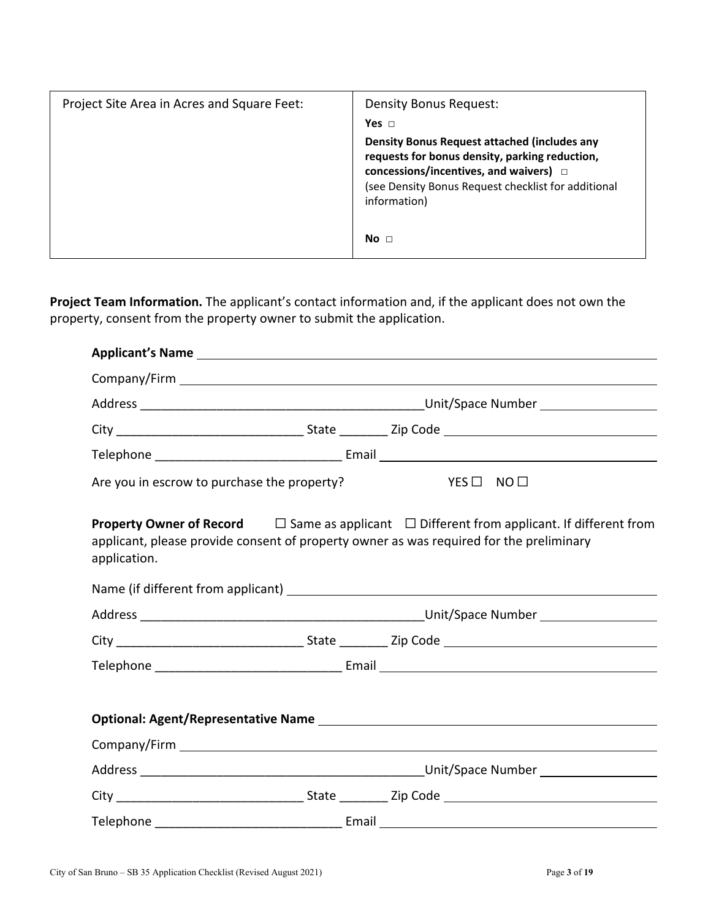| Project Site Area in Acres and Square Feet: | Density Bonus Request:                                                                                                                                                                                               |
|---------------------------------------------|----------------------------------------------------------------------------------------------------------------------------------------------------------------------------------------------------------------------|
|                                             | Yes $\Box$                                                                                                                                                                                                           |
|                                             | Density Bonus Request attached (includes any<br>requests for bonus density, parking reduction,<br>concessions/incentives, and waivers) $\Box$<br>(see Density Bonus Request checklist for additional<br>information) |
|                                             | No <sub>1</sub>                                                                                                                                                                                                      |

**Project Team Information.** The applicant's contact information and, if the applicant does not own the property, consent from the property owner to submit the application.

| Are you in escrow to purchase the property?                                                                                                                                                                            |  | $YES \Box NO \Box$ |  |
|------------------------------------------------------------------------------------------------------------------------------------------------------------------------------------------------------------------------|--|--------------------|--|
| <b>Property Owner of Record</b> $\Box$ Same as applicant $\Box$ Different from applicant. If different from<br>applicant, please provide consent of property owner as was required for the preliminary<br>application. |  |                    |  |
|                                                                                                                                                                                                                        |  |                    |  |
|                                                                                                                                                                                                                        |  |                    |  |
|                                                                                                                                                                                                                        |  |                    |  |
|                                                                                                                                                                                                                        |  |                    |  |
|                                                                                                                                                                                                                        |  |                    |  |
|                                                                                                                                                                                                                        |  |                    |  |
|                                                                                                                                                                                                                        |  |                    |  |
|                                                                                                                                                                                                                        |  |                    |  |
|                                                                                                                                                                                                                        |  |                    |  |
|                                                                                                                                                                                                                        |  |                    |  |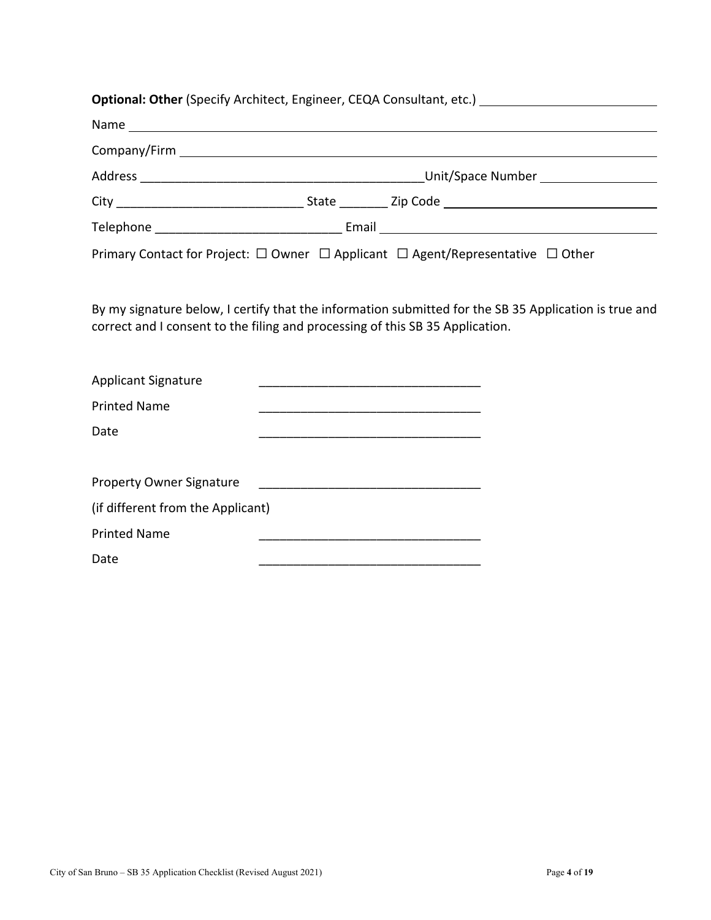# **Optional: Other** (Specify Architect, Engineer, CEQA Consultant, etc.) Name Company/Firm Address \_\_\_\_\_\_\_\_\_\_\_\_\_\_\_\_\_\_\_\_\_\_\_\_\_\_\_\_\_\_\_\_\_\_\_\_\_\_\_\_\_Unit/Space Number City \_\_\_\_\_\_\_\_\_\_\_\_\_\_\_\_\_\_\_\_\_\_\_\_\_\_\_ State \_\_\_\_\_\_\_ Zip Code Telephone \_\_\_\_\_\_\_\_\_\_\_\_\_\_\_\_\_\_\_\_\_\_\_\_\_\_\_ Email Primary Contact for Project:  $\Box$  Owner  $\Box$  Applicant  $\Box$  Agent/Representative  $\Box$  Other

By my signature below, I certify that the information submitted for the SB 35 Application is true and correct and I consent to the filing and processing of this SB 35 Application.

| <b>Applicant Signature</b>        |  |
|-----------------------------------|--|
| <b>Printed Name</b>               |  |
| Date                              |  |
|                                   |  |
| <b>Property Owner Signature</b>   |  |
| (if different from the Applicant) |  |
| <b>Printed Name</b>               |  |
|                                   |  |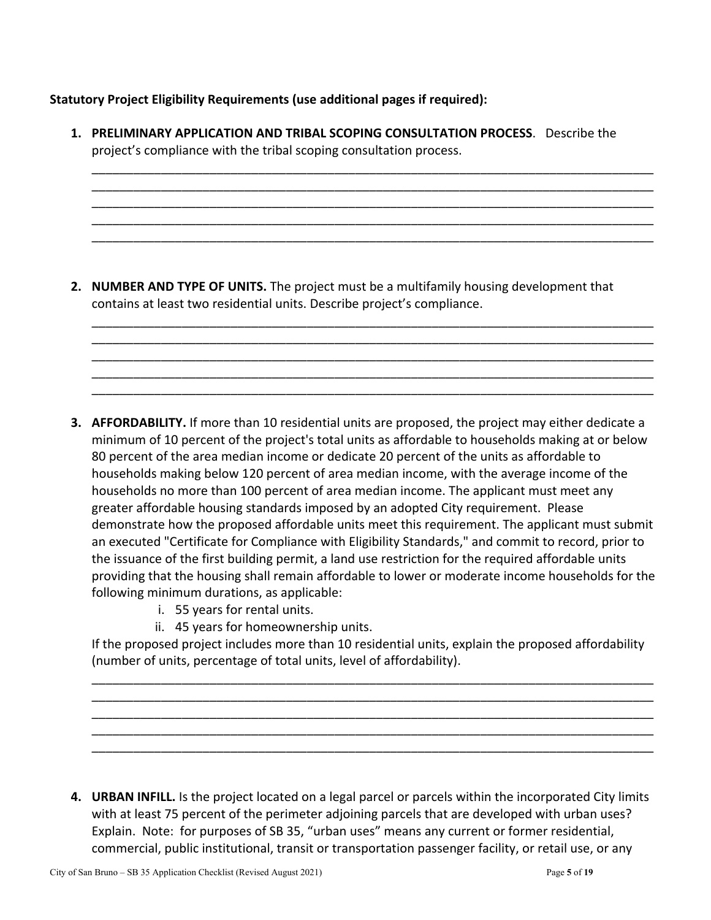**Statutory Project Eligibility Requirements (use additional pages if required):**

| 1. PRELIMINARY APPLICATION AND TRIBAL SCOPING CONSULTATION PROCESS. Describe the<br>project's compliance with the tribal scoping consultation process.             |
|--------------------------------------------------------------------------------------------------------------------------------------------------------------------|
|                                                                                                                                                                    |
| 2. NUMBER AND TYPE OF UNITS. The project must be a multifamily housing development that<br>contains at least two residential units. Describe project's compliance. |
|                                                                                                                                                                    |

**3. AFFORDABILITY.** If more than 10 residential units are proposed, the project may either dedicate a minimum of 10 percent of the project's total units as affordable to households making at or below 80 percent of the area median income or dedicate 20 percent of the units as affordable to households making below 120 percent of area median income, with the average income of the households no more than 100 percent of area median income. The applicant must meet any greater affordable housing standards imposed by an adopted City requirement. Please demonstrate how the proposed affordable units meet this requirement. The applicant must submit an executed "Certificate for Compliance with Eligibility Standards," and commit to record, prior to the issuance of the first building permit, a land use restriction for the required affordable units providing that the housing shall remain affordable to lower or moderate income households for the following minimum durations, as applicable:

\_\_\_\_\_\_\_\_\_\_\_\_\_\_\_\_\_\_\_\_\_\_\_\_\_\_\_\_\_\_\_\_\_\_\_\_\_\_\_\_\_\_\_\_\_\_\_\_\_\_\_\_\_\_\_\_\_\_\_\_\_\_\_\_\_\_\_\_\_\_\_\_\_\_\_\_\_\_\_\_\_

- i. 55 years for rental units.
- ii. 45 years for homeownership units.

If the proposed project includes more than 10 residential units, explain the proposed affordability (number of units, percentage of total units, level of affordability).

\_\_\_\_\_\_\_\_\_\_\_\_\_\_\_\_\_\_\_\_\_\_\_\_\_\_\_\_\_\_\_\_\_\_\_\_\_\_\_\_\_\_\_\_\_\_\_\_\_\_\_\_\_\_\_\_\_\_\_\_\_\_\_\_\_\_\_\_\_\_\_\_\_\_\_\_\_\_\_\_\_ \_\_\_\_\_\_\_\_\_\_\_\_\_\_\_\_\_\_\_\_\_\_\_\_\_\_\_\_\_\_\_\_\_\_\_\_\_\_\_\_\_\_\_\_\_\_\_\_\_\_\_\_\_\_\_\_\_\_\_\_\_\_\_\_\_\_\_\_\_\_\_\_\_\_\_\_\_\_\_\_\_ \_\_\_\_\_\_\_\_\_\_\_\_\_\_\_\_\_\_\_\_\_\_\_\_\_\_\_\_\_\_\_\_\_\_\_\_\_\_\_\_\_\_\_\_\_\_\_\_\_\_\_\_\_\_\_\_\_\_\_\_\_\_\_\_\_\_\_\_\_\_\_\_\_\_\_\_\_\_\_\_\_ \_\_\_\_\_\_\_\_\_\_\_\_\_\_\_\_\_\_\_\_\_\_\_\_\_\_\_\_\_\_\_\_\_\_\_\_\_\_\_\_\_\_\_\_\_\_\_\_\_\_\_\_\_\_\_\_\_\_\_\_\_\_\_\_\_\_\_\_\_\_\_\_\_\_\_\_\_\_\_\_\_ \_\_\_\_\_\_\_\_\_\_\_\_\_\_\_\_\_\_\_\_\_\_\_\_\_\_\_\_\_\_\_\_\_\_\_\_\_\_\_\_\_\_\_\_\_\_\_\_\_\_\_\_\_\_\_\_\_\_\_\_\_\_\_\_\_\_\_\_\_\_\_\_\_\_\_\_\_\_\_\_\_

**4. URBAN INFILL.** Is the project located on a legal parcel or parcels within the incorporated City limits with at least 75 percent of the perimeter adjoining parcels that are developed with urban uses? Explain. Note: for purposes of SB 35, "urban uses" means any current or former residential, commercial, public institutional, transit or transportation passenger facility, or retail use, or any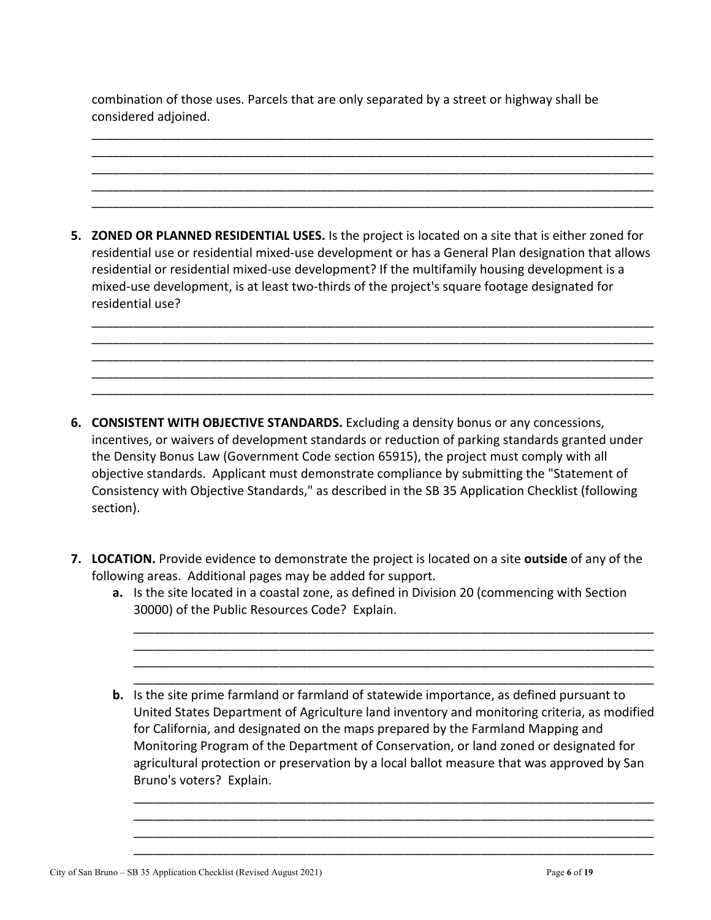combination of those uses. Parcels that are only separated by a street or highway shall be considered adjoined.

\_\_\_\_\_\_\_\_\_\_\_\_\_\_\_\_\_\_\_\_\_\_\_\_\_\_\_\_\_\_\_\_\_\_\_\_\_\_\_\_\_\_\_\_\_\_\_\_\_\_\_\_\_\_\_\_\_\_\_\_\_\_\_\_\_\_\_\_\_\_\_\_\_\_\_\_\_\_\_\_\_ \_\_\_\_\_\_\_\_\_\_\_\_\_\_\_\_\_\_\_\_\_\_\_\_\_\_\_\_\_\_\_\_\_\_\_\_\_\_\_\_\_\_\_\_\_\_\_\_\_\_\_\_\_\_\_\_\_\_\_\_\_\_\_\_\_\_\_\_\_\_\_\_\_\_\_\_\_\_\_\_\_ \_\_\_\_\_\_\_\_\_\_\_\_\_\_\_\_\_\_\_\_\_\_\_\_\_\_\_\_\_\_\_\_\_\_\_\_\_\_\_\_\_\_\_\_\_\_\_\_\_\_\_\_\_\_\_\_\_\_\_\_\_\_\_\_\_\_\_\_\_\_\_\_\_\_\_\_\_\_\_\_\_ \_\_\_\_\_\_\_\_\_\_\_\_\_\_\_\_\_\_\_\_\_\_\_\_\_\_\_\_\_\_\_\_\_\_\_\_\_\_\_\_\_\_\_\_\_\_\_\_\_\_\_\_\_\_\_\_\_\_\_\_\_\_\_\_\_\_\_\_\_\_\_\_\_\_\_\_\_\_\_\_\_ \_\_\_\_\_\_\_\_\_\_\_\_\_\_\_\_\_\_\_\_\_\_\_\_\_\_\_\_\_\_\_\_\_\_\_\_\_\_\_\_\_\_\_\_\_\_\_\_\_\_\_\_\_\_\_\_\_\_\_\_\_\_\_\_\_\_\_\_\_\_\_\_\_\_\_\_\_\_\_\_\_

**5. ZONED OR PLANNED RESIDENTIAL USES.** Is the project is located on a site that is either zoned for residential use or residential mixed-use development or has a General Plan designation that allows residential or residential mixed-use development? If the multifamily housing development is a mixed-use development, is at least two-thirds of the project's square footage designated for residential use?

\_\_\_\_\_\_\_\_\_\_\_\_\_\_\_\_\_\_\_\_\_\_\_\_\_\_\_\_\_\_\_\_\_\_\_\_\_\_\_\_\_\_\_\_\_\_\_\_\_\_\_\_\_\_\_\_\_\_\_\_\_\_\_\_\_\_\_\_\_\_\_\_\_\_\_\_\_\_\_\_\_ \_\_\_\_\_\_\_\_\_\_\_\_\_\_\_\_\_\_\_\_\_\_\_\_\_\_\_\_\_\_\_\_\_\_\_\_\_\_\_\_\_\_\_\_\_\_\_\_\_\_\_\_\_\_\_\_\_\_\_\_\_\_\_\_\_\_\_\_\_\_\_\_\_\_\_\_\_\_\_\_\_ \_\_\_\_\_\_\_\_\_\_\_\_\_\_\_\_\_\_\_\_\_\_\_\_\_\_\_\_\_\_\_\_\_\_\_\_\_\_\_\_\_\_\_\_\_\_\_\_\_\_\_\_\_\_\_\_\_\_\_\_\_\_\_\_\_\_\_\_\_\_\_\_\_\_\_\_\_\_\_\_\_ \_\_\_\_\_\_\_\_\_\_\_\_\_\_\_\_\_\_\_\_\_\_\_\_\_\_\_\_\_\_\_\_\_\_\_\_\_\_\_\_\_\_\_\_\_\_\_\_\_\_\_\_\_\_\_\_\_\_\_\_\_\_\_\_\_\_\_\_\_\_\_\_\_\_\_\_\_\_\_\_\_ \_\_\_\_\_\_\_\_\_\_\_\_\_\_\_\_\_\_\_\_\_\_\_\_\_\_\_\_\_\_\_\_\_\_\_\_\_\_\_\_\_\_\_\_\_\_\_\_\_\_\_\_\_\_\_\_\_\_\_\_\_\_\_\_\_\_\_\_\_\_\_\_\_\_\_\_\_\_\_\_\_

- **6. CONSISTENT WITH OBJECTIVE STANDARDS.** Excluding a density bonus or any concessions, incentives, or waivers of development standards or reduction of parking standards granted under the Density Bonus Law (Government Code section 65915), the project must comply with all objective standards. Applicant must demonstrate compliance by submitting the "Statement of Consistency with Objective Standards," as described in the SB 35 Application Checklist (following section).
- **7. LOCATION.** Provide evidence to demonstrate the project is located on a site **outside** of any of the following areas. Additional pages may be added for support.
	- **a.** Is the site located in a coastal zone, as defined in Division 20 (commencing with Section 30000) of the Public Resources Code? Explain.

\_\_\_\_\_\_\_\_\_\_\_\_\_\_\_\_\_\_\_\_\_\_\_\_\_\_\_\_\_\_\_\_\_\_\_\_\_\_\_\_\_\_\_\_\_\_\_\_\_\_\_\_\_\_\_\_\_\_\_\_\_\_\_\_\_\_\_\_\_\_\_\_\_\_\_ \_\_\_\_\_\_\_\_\_\_\_\_\_\_\_\_\_\_\_\_\_\_\_\_\_\_\_\_\_\_\_\_\_\_\_\_\_\_\_\_\_\_\_\_\_\_\_\_\_\_\_\_\_\_\_\_\_\_\_\_\_\_\_\_\_\_\_\_\_\_\_\_\_\_\_ \_\_\_\_\_\_\_\_\_\_\_\_\_\_\_\_\_\_\_\_\_\_\_\_\_\_\_\_\_\_\_\_\_\_\_\_\_\_\_\_\_\_\_\_\_\_\_\_\_\_\_\_\_\_\_\_\_\_\_\_\_\_\_\_\_\_\_\_\_\_\_\_\_\_\_ \_\_\_\_\_\_\_\_\_\_\_\_\_\_\_\_\_\_\_\_\_\_\_\_\_\_\_\_\_\_\_\_\_\_\_\_\_\_\_\_\_\_\_\_\_\_\_\_\_\_\_\_\_\_\_\_\_\_\_\_\_\_\_\_\_\_\_\_\_\_\_\_\_\_\_

**b.** Is the site prime farmland or farmland of statewide importance, as defined pursuant to United States Department of Agriculture land inventory and monitoring criteria, as modified for California, and designated on the maps prepared by the Farmland Mapping and Monitoring Program of the Department of Conservation, or land zoned or designated for agricultural protection or preservation by a local ballot measure that was approved by San Bruno's voters? Explain.

\_\_\_\_\_\_\_\_\_\_\_\_\_\_\_\_\_\_\_\_\_\_\_\_\_\_\_\_\_\_\_\_\_\_\_\_\_\_\_\_\_\_\_\_\_\_\_\_\_\_\_\_\_\_\_\_\_\_\_\_\_\_\_\_\_\_\_\_\_\_\_\_\_\_\_ \_\_\_\_\_\_\_\_\_\_\_\_\_\_\_\_\_\_\_\_\_\_\_\_\_\_\_\_\_\_\_\_\_\_\_\_\_\_\_\_\_\_\_\_\_\_\_\_\_\_\_\_\_\_\_\_\_\_\_\_\_\_\_\_\_\_\_\_\_\_\_\_\_\_\_ \_\_\_\_\_\_\_\_\_\_\_\_\_\_\_\_\_\_\_\_\_\_\_\_\_\_\_\_\_\_\_\_\_\_\_\_\_\_\_\_\_\_\_\_\_\_\_\_\_\_\_\_\_\_\_\_\_\_\_\_\_\_\_\_\_\_\_\_\_\_\_\_\_\_\_ \_\_\_\_\_\_\_\_\_\_\_\_\_\_\_\_\_\_\_\_\_\_\_\_\_\_\_\_\_\_\_\_\_\_\_\_\_\_\_\_\_\_\_\_\_\_\_\_\_\_\_\_\_\_\_\_\_\_\_\_\_\_\_\_\_\_\_\_\_\_\_\_\_\_\_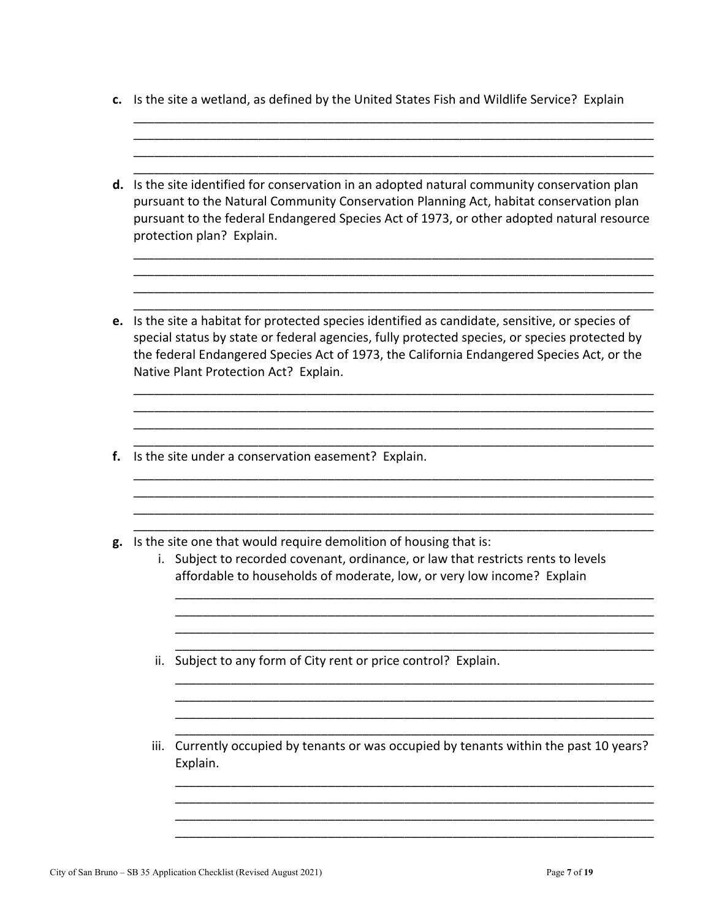**c.** Is the site a wetland, as defined by the United States Fish and Wildlife Service? Explain

\_\_\_\_\_\_\_\_\_\_\_\_\_\_\_\_\_\_\_\_\_\_\_\_\_\_\_\_\_\_\_\_\_\_\_\_\_\_\_\_\_\_\_\_\_\_\_\_\_\_\_\_\_\_\_\_\_\_\_\_\_\_\_\_\_\_\_\_\_\_\_\_\_\_\_ \_\_\_\_\_\_\_\_\_\_\_\_\_\_\_\_\_\_\_\_\_\_\_\_\_\_\_\_\_\_\_\_\_\_\_\_\_\_\_\_\_\_\_\_\_\_\_\_\_\_\_\_\_\_\_\_\_\_\_\_\_\_\_\_\_\_\_\_\_\_\_\_\_\_\_

\_\_\_\_\_\_\_\_\_\_\_\_\_\_\_\_\_\_\_\_\_\_\_\_\_\_\_\_\_\_\_\_\_\_\_\_\_\_\_\_\_\_\_\_\_\_\_\_\_\_\_\_\_\_\_\_\_\_\_\_\_\_\_\_\_\_\_\_\_\_\_\_\_\_\_ \_\_\_\_\_\_\_\_\_\_\_\_\_\_\_\_\_\_\_\_\_\_\_\_\_\_\_\_\_\_\_\_\_\_\_\_\_\_\_\_\_\_\_\_\_\_\_\_\_\_\_\_\_\_\_\_\_\_\_\_\_\_\_\_\_\_\_\_\_\_\_\_\_\_\_ **d.** Is the site identified for conservation in an adopted natural community conservation plan pursuant to the Natural Community Conservation Planning Act, habitat conservation plan pursuant to the federal Endangered Species Act of 1973, or other adopted natural resource protection plan? Explain. \_\_\_\_\_\_\_\_\_\_\_\_\_\_\_\_\_\_\_\_\_\_\_\_\_\_\_\_\_\_\_\_\_\_\_\_\_\_\_\_\_\_\_\_\_\_\_\_\_\_\_\_\_\_\_\_\_\_\_\_\_\_\_\_\_\_\_\_\_\_\_\_\_\_\_ \_\_\_\_\_\_\_\_\_\_\_\_\_\_\_\_\_\_\_\_\_\_\_\_\_\_\_\_\_\_\_\_\_\_\_\_\_\_\_\_\_\_\_\_\_\_\_\_\_\_\_\_\_\_\_\_\_\_\_\_\_\_\_\_\_\_\_\_\_\_\_\_\_\_\_ \_\_\_\_\_\_\_\_\_\_\_\_\_\_\_\_\_\_\_\_\_\_\_\_\_\_\_\_\_\_\_\_\_\_\_\_\_\_\_\_\_\_\_\_\_\_\_\_\_\_\_\_\_\_\_\_\_\_\_\_\_\_\_\_\_\_\_\_\_\_\_\_\_\_\_ \_\_\_\_\_\_\_\_\_\_\_\_\_\_\_\_\_\_\_\_\_\_\_\_\_\_\_\_\_\_\_\_\_\_\_\_\_\_\_\_\_\_\_\_\_\_\_\_\_\_\_\_\_\_\_\_\_\_\_\_\_\_\_\_\_\_\_\_\_\_\_\_\_\_\_ **e.** Is the site a habitat for protected species identified as candidate, sensitive, or species of special status by state or federal agencies, fully protected species, or species protected by the federal Endangered Species Act of 1973, the California Endangered Species Act, or the Native Plant Protection Act? Explain. \_\_\_\_\_\_\_\_\_\_\_\_\_\_\_\_\_\_\_\_\_\_\_\_\_\_\_\_\_\_\_\_\_\_\_\_\_\_\_\_\_\_\_\_\_\_\_\_\_\_\_\_\_\_\_\_\_\_\_\_\_\_\_\_\_\_\_\_\_\_\_\_\_\_\_ \_\_\_\_\_\_\_\_\_\_\_\_\_\_\_\_\_\_\_\_\_\_\_\_\_\_\_\_\_\_\_\_\_\_\_\_\_\_\_\_\_\_\_\_\_\_\_\_\_\_\_\_\_\_\_\_\_\_\_\_\_\_\_\_\_\_\_\_\_\_\_\_\_\_\_ \_\_\_\_\_\_\_\_\_\_\_\_\_\_\_\_\_\_\_\_\_\_\_\_\_\_\_\_\_\_\_\_\_\_\_\_\_\_\_\_\_\_\_\_\_\_\_\_\_\_\_\_\_\_\_\_\_\_\_\_\_\_\_\_\_\_\_\_\_\_\_\_\_\_\_ **f.** Is the site under a conservation easement? Explain. \_\_\_\_\_\_\_\_\_\_\_\_\_\_\_\_\_\_\_\_\_\_\_\_\_\_\_\_\_\_\_\_\_\_\_\_\_\_\_\_\_\_\_\_\_\_\_\_\_\_\_\_\_\_\_\_\_\_\_\_\_\_\_\_\_\_\_\_\_\_\_\_\_\_\_ \_\_\_\_\_\_\_\_\_\_\_\_\_\_\_\_\_\_\_\_\_\_\_\_\_\_\_\_\_\_\_\_\_\_\_\_\_\_\_\_\_\_\_\_\_\_\_\_\_\_\_\_\_\_\_\_\_\_\_\_\_\_\_\_\_\_\_\_\_\_\_\_\_\_\_ \_\_\_\_\_\_\_\_\_\_\_\_\_\_\_\_\_\_\_\_\_\_\_\_\_\_\_\_\_\_\_\_\_\_\_\_\_\_\_\_\_\_\_\_\_\_\_\_\_\_\_\_\_\_\_\_\_\_\_\_\_\_\_\_\_\_\_\_\_\_\_\_\_\_\_ \_\_\_\_\_\_\_\_\_\_\_\_\_\_\_\_\_\_\_\_\_\_\_\_\_\_\_\_\_\_\_\_\_\_\_\_\_\_\_\_\_\_\_\_\_\_\_\_\_\_\_\_\_\_\_\_\_\_\_\_\_\_\_\_\_\_\_\_\_\_\_\_\_\_\_ **g.** Is the site one that would require demolition of housing that is: i. Subject to recorded covenant, ordinance, or law that restricts rents to levels affordable to households of moderate, low, or very low income? Explain \_\_\_\_\_\_\_\_\_\_\_\_\_\_\_\_\_\_\_\_\_\_\_\_\_\_\_\_\_\_\_\_\_\_\_\_\_\_\_\_\_\_\_\_\_\_\_\_\_\_\_\_\_\_\_\_\_\_\_\_\_\_\_\_\_\_\_\_\_ \_\_\_\_\_\_\_\_\_\_\_\_\_\_\_\_\_\_\_\_\_\_\_\_\_\_\_\_\_\_\_\_\_\_\_\_\_\_\_\_\_\_\_\_\_\_\_\_\_\_\_\_\_\_\_\_\_\_\_\_\_\_\_\_\_\_\_\_\_ \_\_\_\_\_\_\_\_\_\_\_\_\_\_\_\_\_\_\_\_\_\_\_\_\_\_\_\_\_\_\_\_\_\_\_\_\_\_\_\_\_\_\_\_\_\_\_\_\_\_\_\_\_\_\_\_\_\_\_\_\_\_\_\_\_\_\_\_\_ \_\_\_\_\_\_\_\_\_\_\_\_\_\_\_\_\_\_\_\_\_\_\_\_\_\_\_\_\_\_\_\_\_\_\_\_\_\_\_\_\_\_\_\_\_\_\_\_\_\_\_\_\_\_\_\_\_\_\_\_\_\_\_\_\_\_\_\_\_ ii. Subject to any form of City rent or price control? Explain. \_\_\_\_\_\_\_\_\_\_\_\_\_\_\_\_\_\_\_\_\_\_\_\_\_\_\_\_\_\_\_\_\_\_\_\_\_\_\_\_\_\_\_\_\_\_\_\_\_\_\_\_\_\_\_\_\_\_\_\_\_\_\_\_\_\_\_\_\_ \_\_\_\_\_\_\_\_\_\_\_\_\_\_\_\_\_\_\_\_\_\_\_\_\_\_\_\_\_\_\_\_\_\_\_\_\_\_\_\_\_\_\_\_\_\_\_\_\_\_\_\_\_\_\_\_\_\_\_\_\_\_\_\_\_\_\_\_\_ \_\_\_\_\_\_\_\_\_\_\_\_\_\_\_\_\_\_\_\_\_\_\_\_\_\_\_\_\_\_\_\_\_\_\_\_\_\_\_\_\_\_\_\_\_\_\_\_\_\_\_\_\_\_\_\_\_\_\_\_\_\_\_\_\_\_\_\_\_ \_\_\_\_\_\_\_\_\_\_\_\_\_\_\_\_\_\_\_\_\_\_\_\_\_\_\_\_\_\_\_\_\_\_\_\_\_\_\_\_\_\_\_\_\_\_\_\_\_\_\_\_\_\_\_\_\_\_\_\_\_\_\_\_\_\_\_\_\_ iii. Currently occupied by tenants or was occupied by tenants within the past 10 years? Explain. \_\_\_\_\_\_\_\_\_\_\_\_\_\_\_\_\_\_\_\_\_\_\_\_\_\_\_\_\_\_\_\_\_\_\_\_\_\_\_\_\_\_\_\_\_\_\_\_\_\_\_\_\_\_\_\_\_\_\_\_\_\_\_\_\_\_\_\_\_ \_\_\_\_\_\_\_\_\_\_\_\_\_\_\_\_\_\_\_\_\_\_\_\_\_\_\_\_\_\_\_\_\_\_\_\_\_\_\_\_\_\_\_\_\_\_\_\_\_\_\_\_\_\_\_\_\_\_\_\_\_\_\_\_\_\_\_\_\_ \_\_\_\_\_\_\_\_\_\_\_\_\_\_\_\_\_\_\_\_\_\_\_\_\_\_\_\_\_\_\_\_\_\_\_\_\_\_\_\_\_\_\_\_\_\_\_\_\_\_\_\_\_\_\_\_\_\_\_\_\_\_\_\_\_\_\_\_\_

\_\_\_\_\_\_\_\_\_\_\_\_\_\_\_\_\_\_\_\_\_\_\_\_\_\_\_\_\_\_\_\_\_\_\_\_\_\_\_\_\_\_\_\_\_\_\_\_\_\_\_\_\_\_\_\_\_\_\_\_\_\_\_\_\_\_\_\_\_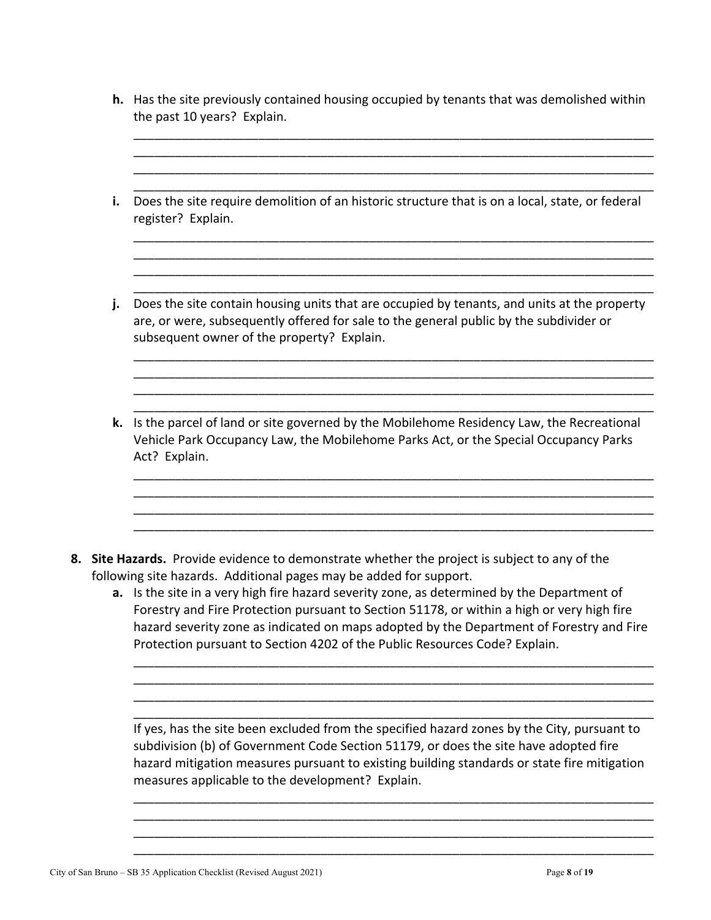| <b>h.</b> Has the site previously contained housing occupied by tenants that was demolished within |
|----------------------------------------------------------------------------------------------------|
| the past 10 years? Explain.                                                                        |

\_\_\_\_\_\_\_\_\_\_\_\_\_\_\_\_\_\_\_\_\_\_\_\_\_\_\_\_\_\_\_\_\_\_\_\_\_\_\_\_\_\_\_\_\_\_\_\_\_\_\_\_\_\_\_\_\_\_\_\_\_\_\_\_\_\_\_\_\_\_\_\_\_\_\_

| j. | Does the site contain housing units that are occupied by tenants, and units at the property<br>are, or were, subsequently offered for sale to the general public by the subdivider or<br>subsequent owner of the property? Explain. |
|----|-------------------------------------------------------------------------------------------------------------------------------------------------------------------------------------------------------------------------------------|
| k. | Is the parcel of land or site governed by the Mobilehome Residency Law, the Recreational<br>Vehicle Park Occupancy Law, the Mobilehome Parks Act, or the Special Occupancy Parks<br>Act? Explain.                                   |

**a.** Is the site in a very high fire hazard severity zone, as determined by the Department of Forestry and Fire Protection pursuant to Section 51178, or within a high or very high fire hazard severity zone as indicated on maps adopted by the Department of Forestry and Fire Protection pursuant to Section 4202 of the Public Resources Code? Explain.

\_\_\_\_\_\_\_\_\_\_\_\_\_\_\_\_\_\_\_\_\_\_\_\_\_\_\_\_\_\_\_\_\_\_\_\_\_\_\_\_\_\_\_\_\_\_\_\_\_\_\_\_\_\_\_\_\_\_\_\_\_\_\_\_\_\_\_\_\_\_\_\_\_\_\_ \_\_\_\_\_\_\_\_\_\_\_\_\_\_\_\_\_\_\_\_\_\_\_\_\_\_\_\_\_\_\_\_\_\_\_\_\_\_\_\_\_\_\_\_\_\_\_\_\_\_\_\_\_\_\_\_\_\_\_\_\_\_\_\_\_\_\_\_\_\_\_\_\_\_\_ \_\_\_\_\_\_\_\_\_\_\_\_\_\_\_\_\_\_\_\_\_\_\_\_\_\_\_\_\_\_\_\_\_\_\_\_\_\_\_\_\_\_\_\_\_\_\_\_\_\_\_\_\_\_\_\_\_\_\_\_\_\_\_\_\_\_\_\_\_\_\_\_\_\_\_ \_\_\_\_\_\_\_\_\_\_\_\_\_\_\_\_\_\_\_\_\_\_\_\_\_\_\_\_\_\_\_\_\_\_\_\_\_\_\_\_\_\_\_\_\_\_\_\_\_\_\_\_\_\_\_\_\_\_\_\_\_\_\_\_\_\_\_\_\_\_\_\_\_\_\_

If yes, has the site been excluded from the specified hazard zones by the City, pursuant to subdivision (b) of Government Code Section 51179, or does the site have adopted fire hazard mitigation measures pursuant to existing building standards or state fire mitigation measures applicable to the development? Explain.

\_\_\_\_\_\_\_\_\_\_\_\_\_\_\_\_\_\_\_\_\_\_\_\_\_\_\_\_\_\_\_\_\_\_\_\_\_\_\_\_\_\_\_\_\_\_\_\_\_\_\_\_\_\_\_\_\_\_\_\_\_\_\_\_\_\_\_\_\_\_\_\_\_\_\_ \_\_\_\_\_\_\_\_\_\_\_\_\_\_\_\_\_\_\_\_\_\_\_\_\_\_\_\_\_\_\_\_\_\_\_\_\_\_\_\_\_\_\_\_\_\_\_\_\_\_\_\_\_\_\_\_\_\_\_\_\_\_\_\_\_\_\_\_\_\_\_\_\_\_\_ \_\_\_\_\_\_\_\_\_\_\_\_\_\_\_\_\_\_\_\_\_\_\_\_\_\_\_\_\_\_\_\_\_\_\_\_\_\_\_\_\_\_\_\_\_\_\_\_\_\_\_\_\_\_\_\_\_\_\_\_\_\_\_\_\_\_\_\_\_\_\_\_\_\_\_ \_\_\_\_\_\_\_\_\_\_\_\_\_\_\_\_\_\_\_\_\_\_\_\_\_\_\_\_\_\_\_\_\_\_\_\_\_\_\_\_\_\_\_\_\_\_\_\_\_\_\_\_\_\_\_\_\_\_\_\_\_\_\_\_\_\_\_\_\_\_\_\_\_\_\_

City of San Bruno – SB 35 Application Checklist (Revised August 2021) Page **8** of **19**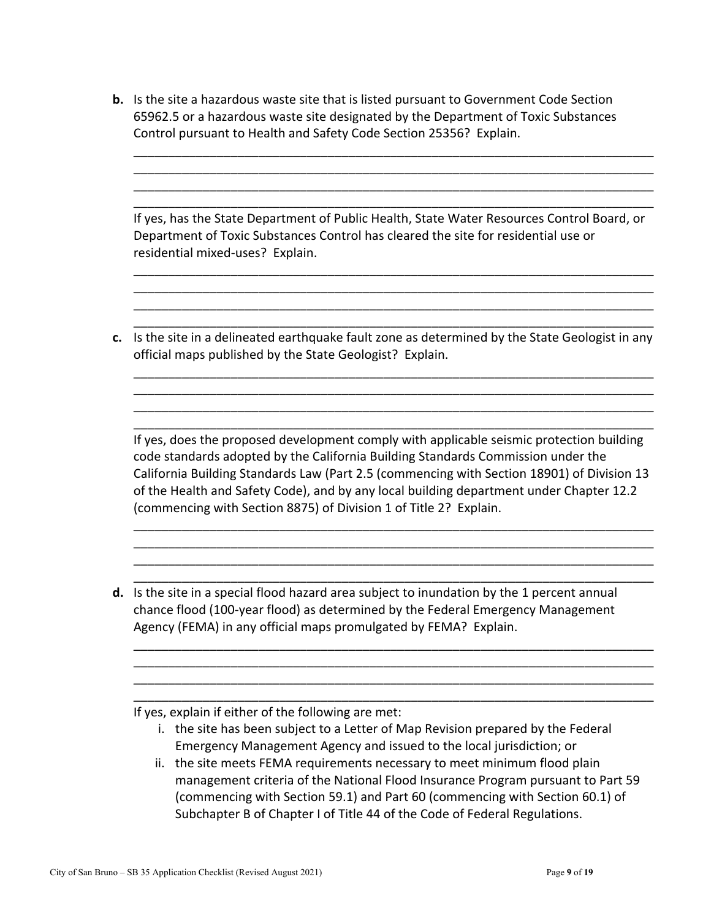| <b>b.</b> Is the site a hazardous waste site that is listed pursuant to Government Code Section |
|-------------------------------------------------------------------------------------------------|
| 65962.5 or a hazardous waste site designated by the Department of Toxic Substances              |
| Control pursuant to Health and Safety Code Section 25356? Explain.                              |

| If yes, has the State Department of Public Health, State Water Resources Control Board, or |
|--------------------------------------------------------------------------------------------|
| Department of Toxic Substances Control has cleared the site for residential use or         |
| residential mixed-uses? Explain.                                                           |

\_\_\_\_\_\_\_\_\_\_\_\_\_\_\_\_\_\_\_\_\_\_\_\_\_\_\_\_\_\_\_\_\_\_\_\_\_\_\_\_\_\_\_\_\_\_\_\_\_\_\_\_\_\_\_\_\_\_\_\_\_\_\_\_\_\_\_\_\_\_\_\_\_\_\_ \_\_\_\_\_\_\_\_\_\_\_\_\_\_\_\_\_\_\_\_\_\_\_\_\_\_\_\_\_\_\_\_\_\_\_\_\_\_\_\_\_\_\_\_\_\_\_\_\_\_\_\_\_\_\_\_\_\_\_\_\_\_\_\_\_\_\_\_\_\_\_\_\_\_\_ \_\_\_\_\_\_\_\_\_\_\_\_\_\_\_\_\_\_\_\_\_\_\_\_\_\_\_\_\_\_\_\_\_\_\_\_\_\_\_\_\_\_\_\_\_\_\_\_\_\_\_\_\_\_\_\_\_\_\_\_\_\_\_\_\_\_\_\_\_\_\_\_\_\_\_ \_\_\_\_\_\_\_\_\_\_\_\_\_\_\_\_\_\_\_\_\_\_\_\_\_\_\_\_\_\_\_\_\_\_\_\_\_\_\_\_\_\_\_\_\_\_\_\_\_\_\_\_\_\_\_\_\_\_\_\_\_\_\_\_\_\_\_\_\_\_\_\_\_\_\_

\_\_\_\_\_\_\_\_\_\_\_\_\_\_\_\_\_\_\_\_\_\_\_\_\_\_\_\_\_\_\_\_\_\_\_\_\_\_\_\_\_\_\_\_\_\_\_\_\_\_\_\_\_\_\_\_\_\_\_\_\_\_\_\_\_\_\_\_\_\_\_\_\_\_\_ \_\_\_\_\_\_\_\_\_\_\_\_\_\_\_\_\_\_\_\_\_\_\_\_\_\_\_\_\_\_\_\_\_\_\_\_\_\_\_\_\_\_\_\_\_\_\_\_\_\_\_\_\_\_\_\_\_\_\_\_\_\_\_\_\_\_\_\_\_\_\_\_\_\_\_ \_\_\_\_\_\_\_\_\_\_\_\_\_\_\_\_\_\_\_\_\_\_\_\_\_\_\_\_\_\_\_\_\_\_\_\_\_\_\_\_\_\_\_\_\_\_\_\_\_\_\_\_\_\_\_\_\_\_\_\_\_\_\_\_\_\_\_\_\_\_\_\_\_\_\_ \_\_\_\_\_\_\_\_\_\_\_\_\_\_\_\_\_\_\_\_\_\_\_\_\_\_\_\_\_\_\_\_\_\_\_\_\_\_\_\_\_\_\_\_\_\_\_\_\_\_\_\_\_\_\_\_\_\_\_\_\_\_\_\_\_\_\_\_\_\_\_\_\_\_\_

**c.** Is the site in a delineated earthquake fault zone as determined by the State Geologist in any official maps published by the State Geologist? Explain.

\_\_\_\_\_\_\_\_\_\_\_\_\_\_\_\_\_\_\_\_\_\_\_\_\_\_\_\_\_\_\_\_\_\_\_\_\_\_\_\_\_\_\_\_\_\_\_\_\_\_\_\_\_\_\_\_\_\_\_\_\_\_\_\_\_\_\_\_\_\_\_\_\_\_\_ \_\_\_\_\_\_\_\_\_\_\_\_\_\_\_\_\_\_\_\_\_\_\_\_\_\_\_\_\_\_\_\_\_\_\_\_\_\_\_\_\_\_\_\_\_\_\_\_\_\_\_\_\_\_\_\_\_\_\_\_\_\_\_\_\_\_\_\_\_\_\_\_\_\_\_ \_\_\_\_\_\_\_\_\_\_\_\_\_\_\_\_\_\_\_\_\_\_\_\_\_\_\_\_\_\_\_\_\_\_\_\_\_\_\_\_\_\_\_\_\_\_\_\_\_\_\_\_\_\_\_\_\_\_\_\_\_\_\_\_\_\_\_\_\_\_\_\_\_\_\_

If yes, does the proposed development comply with applicable seismic protection building code standards adopted by the California Building Standards Commission under the California Building Standards Law (Part 2.5 (commencing with Section 18901) of Division 13 of the Health and Safety Code), and by any local building department under Chapter 12.2 (commencing with Section 8875) of Division 1 of Title 2? Explain.

\_\_\_\_\_\_\_\_\_\_\_\_\_\_\_\_\_\_\_\_\_\_\_\_\_\_\_\_\_\_\_\_\_\_\_\_\_\_\_\_\_\_\_\_\_\_\_\_\_\_\_\_\_\_\_\_\_\_\_\_\_\_\_\_\_\_\_\_\_\_\_\_\_\_\_ \_\_\_\_\_\_\_\_\_\_\_\_\_\_\_\_\_\_\_\_\_\_\_\_\_\_\_\_\_\_\_\_\_\_\_\_\_\_\_\_\_\_\_\_\_\_\_\_\_\_\_\_\_\_\_\_\_\_\_\_\_\_\_\_\_\_\_\_\_\_\_\_\_\_\_ \_\_\_\_\_\_\_\_\_\_\_\_\_\_\_\_\_\_\_\_\_\_\_\_\_\_\_\_\_\_\_\_\_\_\_\_\_\_\_\_\_\_\_\_\_\_\_\_\_\_\_\_\_\_\_\_\_\_\_\_\_\_\_\_\_\_\_\_\_\_\_\_\_\_\_

\_\_\_\_\_\_\_\_\_\_\_\_\_\_\_\_\_\_\_\_\_\_\_\_\_\_\_\_\_\_\_\_\_\_\_\_\_\_\_\_\_\_\_\_\_\_\_\_\_\_\_\_\_\_\_\_\_\_\_\_\_\_\_\_\_\_\_\_\_\_\_\_\_\_\_ \_\_\_\_\_\_\_\_\_\_\_\_\_\_\_\_\_\_\_\_\_\_\_\_\_\_\_\_\_\_\_\_\_\_\_\_\_\_\_\_\_\_\_\_\_\_\_\_\_\_\_\_\_\_\_\_\_\_\_\_\_\_\_\_\_\_\_\_\_\_\_\_\_\_\_ \_\_\_\_\_\_\_\_\_\_\_\_\_\_\_\_\_\_\_\_\_\_\_\_\_\_\_\_\_\_\_\_\_\_\_\_\_\_\_\_\_\_\_\_\_\_\_\_\_\_\_\_\_\_\_\_\_\_\_\_\_\_\_\_\_\_\_\_\_\_\_\_\_\_\_ \_\_\_\_\_\_\_\_\_\_\_\_\_\_\_\_\_\_\_\_\_\_\_\_\_\_\_\_\_\_\_\_\_\_\_\_\_\_\_\_\_\_\_\_\_\_\_\_\_\_\_\_\_\_\_\_\_\_\_\_\_\_\_\_\_\_\_\_\_\_\_\_\_\_\_

**d.** Is the site in a special flood hazard area subject to inundation by the 1 percent annual chance flood (100-year flood) as determined by the Federal Emergency Management Agency (FEMA) in any official maps promulgated by FEMA? Explain.

If yes, explain if either of the following are met:

- i. the site has been subject to a Letter of Map Revision prepared by the Federal Emergency Management Agency and issued to the local jurisdiction; or
- ii. the site meets FEMA requirements necessary to meet minimum flood plain management criteria of the National Flood Insurance Program pursuant to Part 59 (commencing with Section 59.1) and Part 60 (commencing with Section 60.1) of Subchapter B of Chapter I of Title 44 of the Code of Federal Regulations.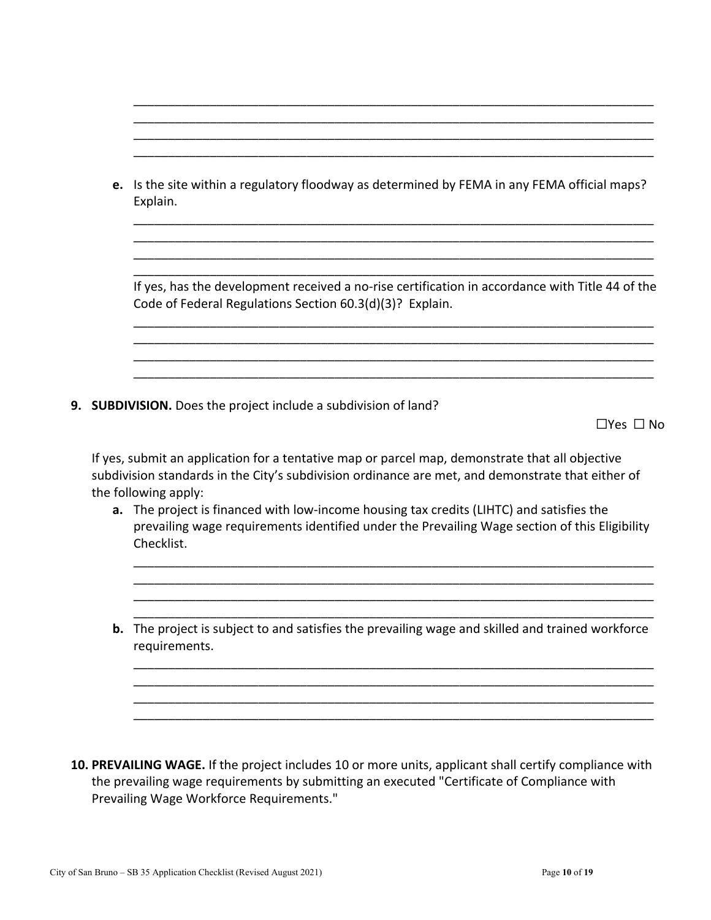|  | e. Is the site within a regulatory floodway as determined by FEMA in any FEMA official maps?<br>Explain.                                                                                                                     |
|--|------------------------------------------------------------------------------------------------------------------------------------------------------------------------------------------------------------------------------|
|  | If yes, has the development received a no-rise certification in accordance with Title 44 of the<br>Code of Federal Regulations Section 60.3(d)(3)? Explain.                                                                  |
|  | 9. SUBDIVISION. Does the project include a subdivision of land?                                                                                                                                                              |
|  | $\Box$ Yes $\Box$ No                                                                                                                                                                                                         |
|  | If yes, submit an application for a tentative map or parcel map, demonstrate that all objective<br>subdivision standards in the City's subdivision ordinance are met, and demonstrate that either of<br>the following apply: |
|  | a. The project is financed with low-income housing tax credits (LIHTC) and satisfies the<br>prevailing wage requirements identified under the Prevailing Wage section of this Eligibility<br>Checklist.                      |
|  | b. The project is subject to and satisfies the prevailing wage and skilled and trained workforce<br>requirements.                                                                                                            |
|  |                                                                                                                                                                                                                              |

**10. PREVAILING WAGE.** If the project includes 10 or more units, applicant shall certify compliance with the prevailing wage requirements by submitting an executed "Certificate of Compliance with Prevailing Wage Workforce Requirements."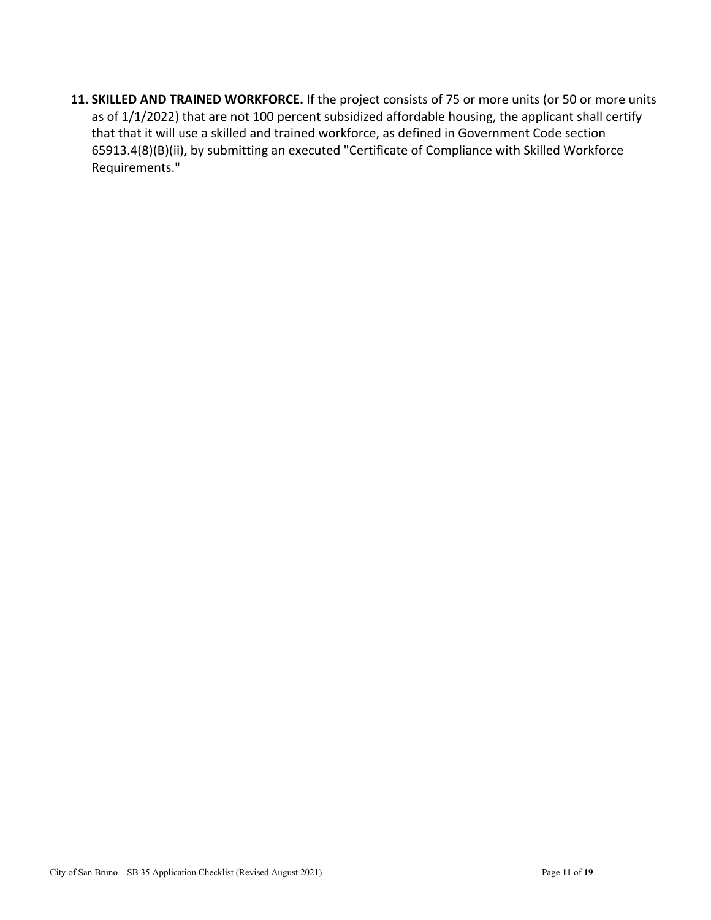**11. SKILLED AND TRAINED WORKFORCE.** If the project consists of 75 or more units (or 50 or more units as of 1/1/2022) that are not 100 percent subsidized affordable housing, the applicant shall certify that that it will use a skilled and trained workforce, as defined in Government Code section 65913.4(8)(B)(ii), by submitting an executed "Certificate of Compliance with Skilled Workforce Requirements."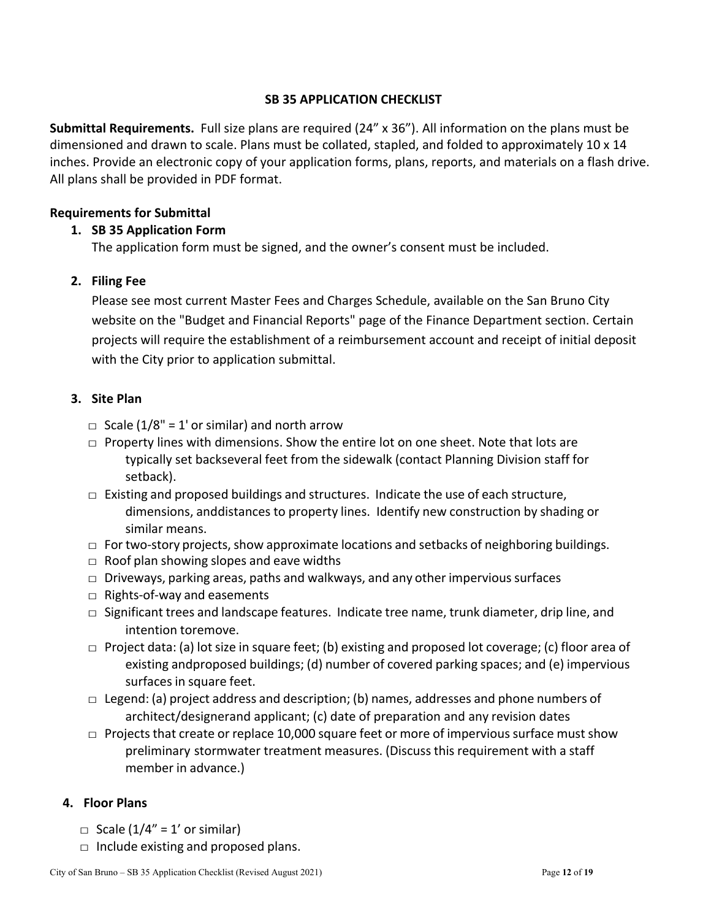# **SB 35 APPLICATION CHECKLIST**

**Submittal Requirements.** Full size plans are required (24" x 36"). All information on the plans must be dimensioned and drawn to scale. Plans must be collated, stapled, and folded to approximately 10 x 14 inches. Provide an electronic copy of your application forms, plans, reports, and materials on a flash drive. All plans shall be provided in PDF format.

# **Requirements for Submittal**

# **1. SB 35 Application Form**

The application form must be signed, and the owner's consent must be included.

# **2. Filing Fee**

Please see most current Master Fees and Charges Schedule, available on the San Bruno City website on the "Budget and Financial Reports" page of the Finance Department section. Certain projects will require the establishment of a reimbursement account and receipt of initial deposit with the City prior to application submittal.

# **3. Site Plan**

- $\Box$  Scale (1/8" = 1' or similar) and north arrow
- $\Box$  Property lines with dimensions. Show the entire lot on one sheet. Note that lots are typically set backseveral feet from the sidewalk (contact Planning Division staff for setback).
- $\Box$  Existing and proposed buildings and structures. Indicate the use of each structure, dimensions, and distances to property lines. Identify new construction by shading or similar means.
- $\Box$  For two-story projects, show approximate locations and setbacks of neighboring buildings.
- $\Box$  Roof plan showing slopes and eave widths
- $\square$  Driveways, parking areas, paths and walkways, and any other impervious surfaces
- $\Box$  Rights-of-way and easements
- $\Box$  Significant trees and landscape features. Indicate tree name, trunk diameter, drip line, and intention toremove.
- $\Box$  Project data: (a) lot size in square feet; (b) existing and proposed lot coverage; (c) floor area of existing and proposed buildings; (d) number of covered parking spaces; and (e) impervious surfaces in square feet.
- $\Box$  Legend: (a) project address and description; (b) names, addresses and phone numbers of architect/designerand applicant; (c) date of preparation and any revision dates
- $\Box$  Projects that create or replace 10,000 square feet or more of impervious surface must show preliminary stormwater treatment measures. (Discuss this requirement with a staff member in advance.)

# **4. Floor Plans**

- $\Box$  Scale (1/4" = 1' or similar)
- $\Box$  Include existing and proposed plans.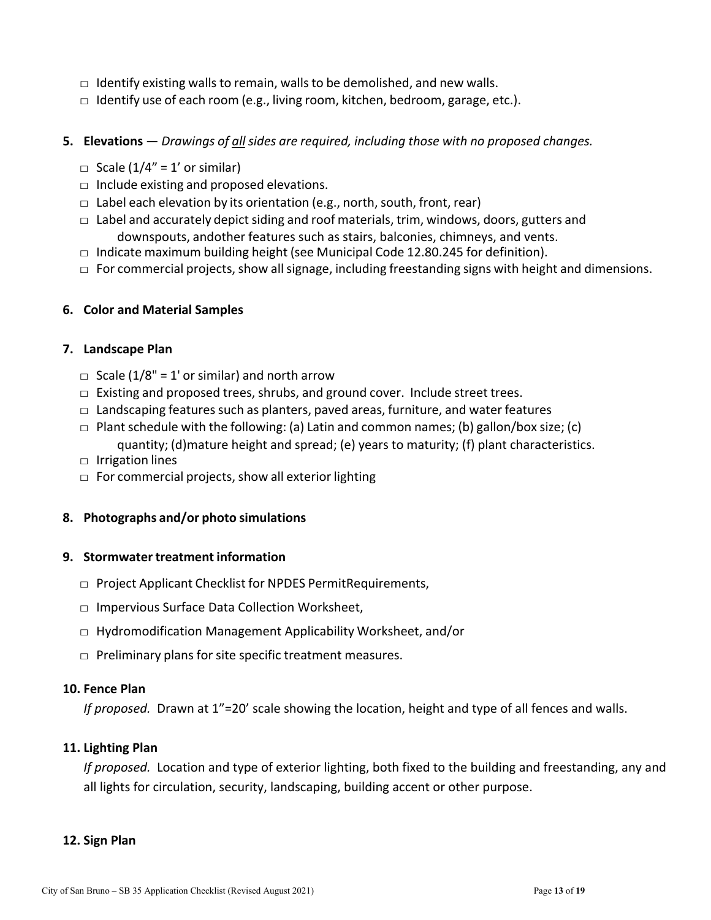- $\Box$  Identify existing walls to remain, walls to be demolished, and new walls.
- $\Box$  Identify use of each room (e.g., living room, kitchen, bedroom, garage, etc.).
- **5. Elevations**  *Drawings of all sides are required, including those with no proposed changes.*
	- $\Box$  Scale (1/4" = 1' or similar)
	- $\Box$  Include existing and proposed elevations.
	- $\Box$  Label each elevation by its orientation (e.g., north, south, front, rear)
	- $\Box$  Label and accurately depict siding and roof materials, trim, windows, doors, gutters and downspouts, and other features such as stairs, balconies, chimneys, and vents.
	- $\Box$  Indicate maximum building height (see Municipal Code 12.80.245 for definition).
	- $\Box$  For commercial projects, show all signage, including freestanding signs with height and dimensions.

# **6. Color and Material Samples**

#### **7. Landscape Plan**

- $\Box$  Scale (1/8" = 1' or similar) and north arrow
- $\Box$  Existing and proposed trees, shrubs, and ground cover. Include street trees.
- $\Box$  Landscaping features such as planters, paved areas, furniture, and water features
- $\Box$  Plant schedule with the following: (a) Latin and common names; (b) gallon/box size; (c) quantity; (d) mature height and spread; (e) years to maturity; (f) plant characteristics.
- □ Irrigation lines
- $\Box$  For commercial projects, show all exterior lighting

# **8. Photographs and/or photo simulations**

# **9. Stormwater treatment information**

- $\Box$  Project Applicant Checklist for NPDES Permit Requirements,
- $\Box$  Impervious Surface Data Collection Worksheet,
- □ Hydromodification Management Applicability Worksheet, and/or
- $\Box$  Preliminary plans for site specific treatment measures.

#### **10. Fence Plan**

*If proposed.* Drawn at 1"=20' scale showing the location, height and type of all fences and walls.

# **11. Lighting Plan**

*If proposed.*Location and type of exterior lighting, both fixed to the building and freestanding, any and all lights for circulation, security, landscaping, building accent or other purpose.

#### **12. Sign Plan**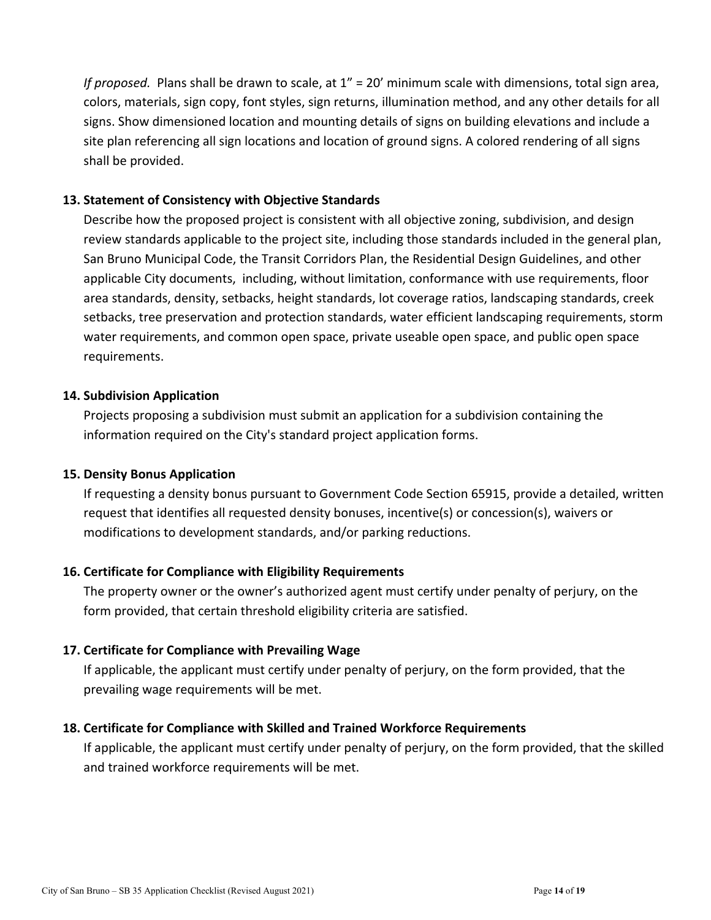*If proposed.* Plans shall be drawn to scale, at 1" = 20' minimum scale with dimensions, total sign area, colors, materials, sign copy, font styles, sign returns, illumination method, and any other details for all signs. Show dimensioned location and mounting details of signs on building elevations and include a site plan referencing all sign locations and location of ground signs. A colored rendering of all signs shall be provided.

# **13. Statement of Consistency with Objective Standards**

Describe how the proposed project is consistent with all objective zoning, subdivision, and design review standards applicable to the project site, including those standards included in the general plan, San Bruno Municipal Code, the Transit Corridors Plan, the Residential Design Guidelines, and other applicable City documents, including, without limitation, conformance with use requirements, floor area standards, density, setbacks, height standards, lot coverage ratios, landscaping standards, creek setbacks, tree preservation and protection standards, water efficient landscaping requirements, storm water requirements, and common open space, private useable open space, and public open space requirements.

# **14. Subdivision Application**

Projects proposing a subdivision must submit an application for a subdivision containing the information required on the City's standard project application forms.

# **15. Density Bonus Application**

If requesting a density bonus pursuant to Government Code Section 65915, provide a detailed, written request that identifies all requested density bonuses, incentive(s) or concession(s), waivers or modifications to development standards, and/or parking reductions.

# **16. Certificate for Compliance with Eligibility Requirements**

The property owner or the owner's authorized agent must certify under penalty of perjury, on the form provided, that certain threshold eligibility criteria are satisfied.

#### **17. Certificate for Compliance with Prevailing Wage**

If applicable, the applicant must certify under penalty of perjury, on the form provided, that the prevailing wage requirements will be met.

#### **18. Certificate for Compliance with Skilled and Trained Workforce Requirements**

If applicable, the applicant must certify under penalty of perjury, on the form provided, that the skilled and trained workforce requirements will be met.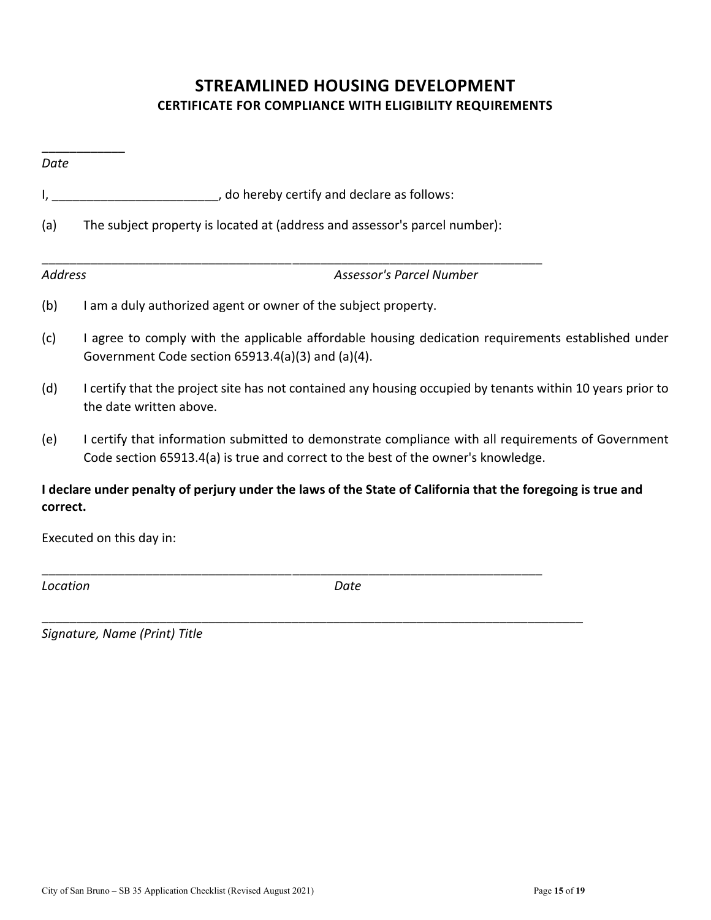# **STREAMLINED HOUSING DEVELOPMENT CERTIFICATE FOR COMPLIANCE WITH ELIGIBILITY REQUIREMENTS**

| Date           |                                                                                                                                                                                         |
|----------------|-----------------------------------------------------------------------------------------------------------------------------------------------------------------------------------------|
| I,             | do hereby certify and declare as follows:                                                                                                                                               |
| (a)            | The subject property is located at (address and assessor's parcel number):                                                                                                              |
| <b>Address</b> | <b>Assessor's Parcel Number</b>                                                                                                                                                         |
| (b)            | I am a duly authorized agent or owner of the subject property.                                                                                                                          |
| (c)            | I agree to comply with the applicable affordable housing dedication requirements established under<br>Government Code section 65913.4(a)(3) and (a)(4).                                 |
| (d)            | I certify that the project site has not contained any housing occupied by tenants within 10 years prior to<br>the date written above.                                                   |
| (e)            | I certify that information submitted to demonstrate compliance with all requirements of Government<br>Code section 65913.4(a) is true and correct to the best of the owner's knowledge. |
| correct.       | I declare under penalty of perjury under the laws of the State of California that the foregoing is true and                                                                             |
|                | Executed on this day in:                                                                                                                                                                |

\_\_\_\_\_\_\_\_\_\_\_\_\_\_\_\_\_\_\_\_\_\_\_\_\_\_\_\_\_\_\_\_\_\_\_\_\_\_\_\_\_\_\_\_\_\_\_\_\_\_\_\_\_\_\_\_\_\_\_\_\_\_\_\_\_\_\_\_\_\_\_\_

*Location Date*

\_\_\_\_\_\_\_\_\_\_\_\_\_\_\_\_\_\_\_\_\_\_\_\_\_\_\_\_\_\_\_\_\_\_\_\_\_\_\_\_\_\_\_\_\_\_\_\_\_\_\_\_\_\_\_\_\_\_\_\_\_\_\_\_\_\_\_\_\_\_\_\_\_\_\_\_\_\_

*Signature, Name (Print) Title*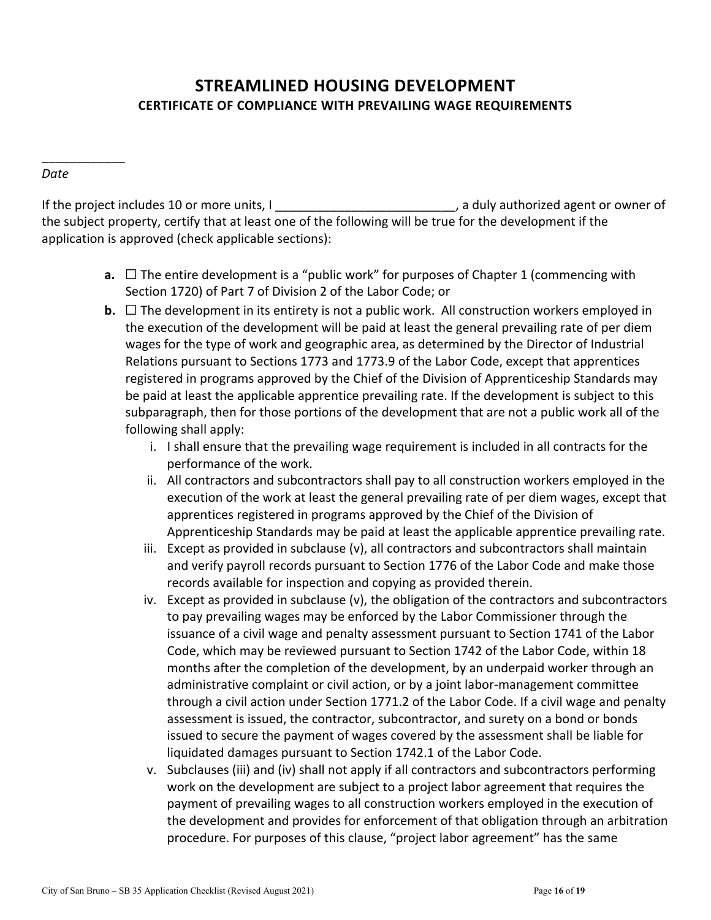# **STREAMLINED HOUSING DEVELOPMENT CERTIFICATE OF COMPLIANCE WITH PREVAILING WAGE REQUIREMENTS**

#### *Date*

\_\_\_\_\_\_\_\_\_\_\_\_

If the project includes 10 or more units, I can be a mean of the project includes 10 or more units, I the subject property, certify that at least one of the following will be true for the development if the application is approved (check applicable sections):

- **a.** □ The entire development is a "public work" for purposes of Chapter 1 (commencing with Section 1720) of Part 7 of Division 2 of the Labor Code; or
- **b.**  $\Box$  The development in its entirety is not a public work. All construction workers employed in the execution of the development will be paid at least the general prevailing rate of per diem wages for the type of work and geographic area, as determined by the Director of Industrial Relations pursuant to Sections 1773 and 1773.9 of the Labor Code, except that apprentices registered in programs approved by the Chief of the Division of Apprenticeship Standards may be paid at least the applicable apprentice prevailing rate. If the development is subject to this subparagraph, then for those portions of the development that are not a public work all of the following shall apply:
	- i. I shall ensure that the prevailing wage requirement is included in all contracts for the performance of the work.
	- ii. All contractors and subcontractors shall pay to all construction workers employed in the execution of the work at least the general prevailing rate of per diem wages, except that apprentices registered in programs approved by the Chief of the Division of Apprenticeship Standards may be paid at least the applicable apprentice prevailing rate.
	- iii. Except as provided in subclause (v), all contractors and subcontractors shall maintain and verify payroll records pursuant to Section 1776 of the Labor Code and make those records available for inspection and copying as provided therein.
	- iv. Except as provided in subclause (v), the obligation of the contractors and subcontractors to pay prevailing wages may be enforced by the Labor Commissioner through the issuance of a civil wage and penalty assessment pursuant to Section 1741 of the Labor Code, which may be reviewed pursuant to Section 1742 of the Labor Code, within 18 months after the completion of the development, by an underpaid worker through an administrative complaint or civil action, or by a joint labor-management committee through a civil action under Section 1771.2 of the Labor Code. If a civil wage and penalty assessment is issued, the contractor, subcontractor, and surety on a bond or bonds issued to secure the payment of wages covered by the assessment shall be liable for liquidated damages pursuant to Section 1742.1 of the Labor Code.
	- v. Subclauses (iii) and (iv) shall not apply if all contractors and subcontractors performing work on the development are subject to a project labor agreement that requires the payment of prevailing wages to all construction workers employed in the execution of the development and provides for enforcement of that obligation through an arbitration procedure. For purposes of this clause, "project labor agreement" has the same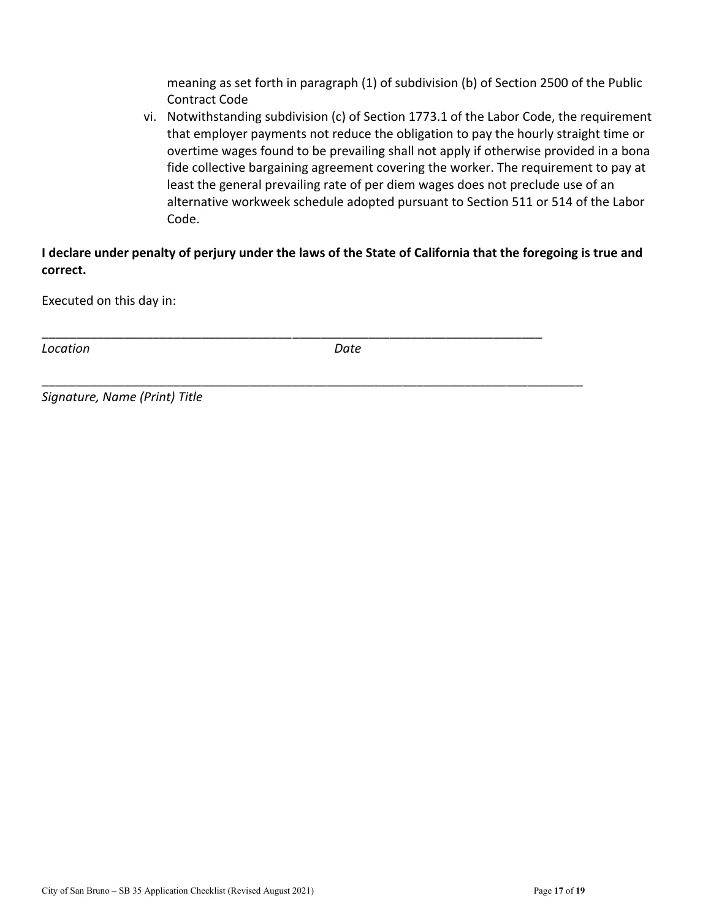meaning as set forth in paragraph (1) of subdivision (b) of Section 2500 of the Public Contract Code

vi. Notwithstanding subdivision (c) of Section 1773.1 of the Labor Code, the requirement that employer payments not reduce the obligation to pay the hourly straight time or overtime wages found to be prevailing shall not apply if otherwise provided in a bona fide collective bargaining agreement covering the worker. The requirement to pay at least the general prevailing rate of per diem wages does not preclude use of an alternative workweek schedule adopted pursuant to Section 511 or 514 of the Labor Code.

**I declare under penalty of perjury under the laws of the State of California that the foregoing is true and correct.**

Executed on this day in:

*Location Date*

\_\_\_\_\_\_\_\_\_\_\_\_\_\_\_\_\_\_\_\_\_\_\_\_\_\_\_\_\_\_\_\_\_\_\_\_\_\_\_\_\_\_\_\_\_\_\_\_\_\_\_\_\_\_\_\_\_\_\_\_\_\_\_\_\_\_\_\_\_\_\_\_

\_\_\_\_\_\_\_\_\_\_\_\_\_\_\_\_\_\_\_\_\_\_\_\_\_\_\_\_\_\_\_\_\_\_\_\_\_\_\_\_\_\_\_\_\_\_\_\_\_\_\_\_\_\_\_\_\_\_\_\_\_\_\_\_\_\_\_\_\_\_\_\_\_\_\_\_\_\_

*Signature, Name (Print) Title*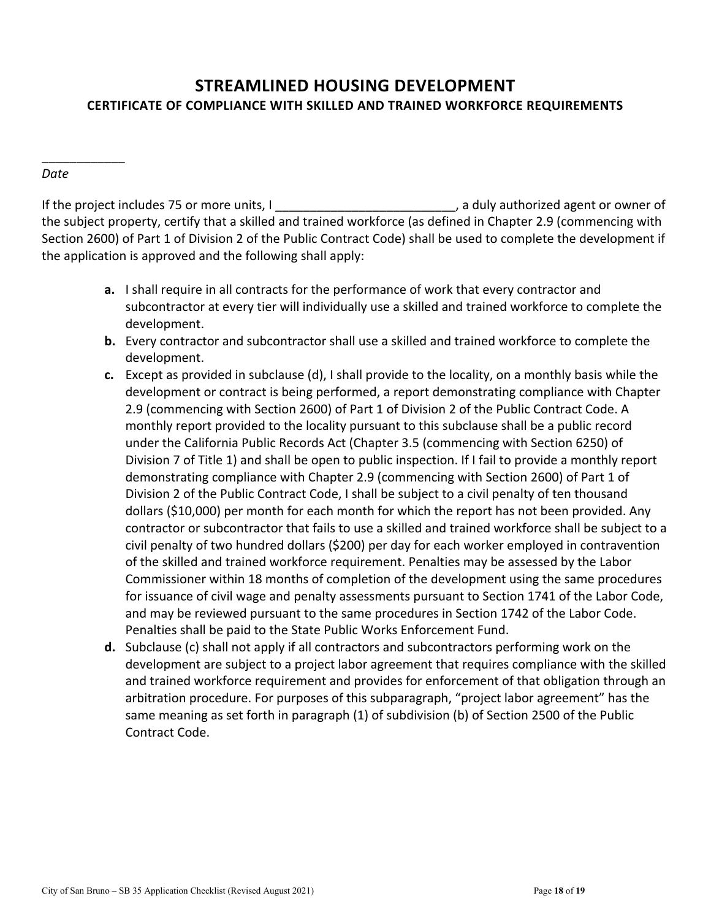# **STREAMLINED HOUSING DEVELOPMENT CERTIFICATE OF COMPLIANCE WITH SKILLED AND TRAINED WORKFORCE REQUIREMENTS**

### *Date*

\_\_\_\_\_\_\_\_\_\_\_\_

If the project includes 75 or more units, I can be a set of the project includes 75 or more units, I the subject property, certify that a skilled and trained workforce (as defined in Chapter 2.9 (commencing with Section 2600) of Part 1 of Division 2 of the Public Contract Code) shall be used to complete the development if the application is approved and the following shall apply:

- **a.** I shall require in all contracts for the performance of work that every contractor and subcontractor at every tier will individually use a skilled and trained workforce to complete the development.
- **b.** Every contractor and subcontractor shall use a skilled and trained workforce to complete the development.
- **c.** Except as provided in subclause (d), I shall provide to the locality, on a monthly basis while the development or contract is being performed, a report demonstrating compliance with Chapter 2.9 (commencing with Section 2600) of Part 1 of Division 2 of the Public Contract Code. A monthly report provided to the locality pursuant to this subclause shall be a public record under the California Public Records Act (Chapter 3.5 (commencing with Section 6250) of Division 7 of Title 1) and shall be open to public inspection. If I fail to provide a monthly report demonstrating compliance with Chapter 2.9 (commencing with Section 2600) of Part 1 of Division 2 of the Public Contract Code, I shall be subject to a civil penalty of ten thousand dollars (\$10,000) per month for each month for which the report has not been provided. Any contractor or subcontractor that fails to use a skilled and trained workforce shall be subject to a civil penalty of two hundred dollars (\$200) per day for each worker employed in contravention of the skilled and trained workforce requirement. Penalties may be assessed by the Labor Commissioner within 18 months of completion of the development using the same procedures for issuance of civil wage and penalty assessments pursuant to Section 1741 of the Labor Code, and may be reviewed pursuant to the same procedures in Section 1742 of the Labor Code. Penalties shall be paid to the State Public Works Enforcement Fund.
- **d.** Subclause (c) shall not apply if all contractors and subcontractors performing work on the development are subject to a project labor agreement that requires compliance with the skilled and trained workforce requirement and provides for enforcement of that obligation through an arbitration procedure. For purposes of this subparagraph, "project labor agreement" has the same meaning as set forth in paragraph (1) of subdivision (b) of Section 2500 of the Public Contract Code.